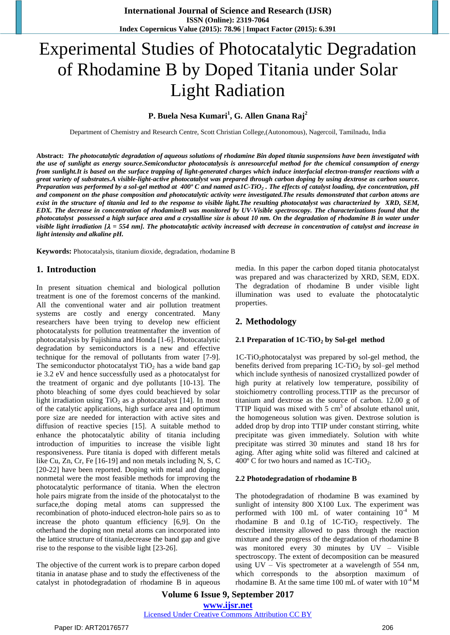# Experimental Studies of Photocatalytic Degradation of Rhodamine B by Doped Titania under Solar Light Radiation

# **P. Buela Nesa Kumari<sup>1</sup> , G. Allen Gnana Raj<sup>2</sup>**

Department of Chemistry and Research Centre, Scott Christian College,(Autonomous), Nagercoil, Tamilnadu, India

**Abstract:** *The photocatalytic degradation of aqueous solutions of rhodamine Bin doped titania suspensions have been investigated with the use of sunlight as energy source.Semiconductor photocatalysis is anresourceful method for the chemical consumption of energy from sunlight.It is based on the surface trapping of light-generated charges which induce interfacial electron-transfer reactions with a great variety of substrates.A visible-light-active photocatalyst was prepared through carbon doping by using dextrose as carbon source. Preparation was performed by a sol-gel method at 400º C and named as1C-TiO<sup>2</sup> . The effects of catalyst loading, dye concentration, pH and component on the phase composition and photocatalytic activity were investigated.The results demonstrated that carbon atoms are exist in the structure of titania and led to the response to visible light.The resulting photocatalyst was characterized by XRD, SEM, EDX. The decrease in concentration of rhodamineB was monitored by UV-Visible spectroscopy. The characterizations found that the photocatalyst possessed a high surface area and a crystalline size is about 10 nm. On the degradation of rhodamine B in water under visible light irradiation*  $[\lambda = 554$  *nm*]. The photocatalytic activity increased with decrease in concentration of catalyst and increase in *light intensity and alkaline pH.*

**Keywords:** Photocatalysis, titanium dioxide, degradation, rhodamine B

#### **1. Introduction**

In present situation chemical and biological pollution treatment is one of the foremost concerns of the mankind. All the conventional water and air pollution treatment systems are costly and energy concentrated. Many researchers have been trying to develop new efficient photocatalysts for pollution treatmentafter the invention of photocatalysis by Fujishima and Honda [1-6]. Photocatalytic degradation by semiconductors is a new and effective technique for the removal of pollutants from water [7-9]. The semiconductor photocatalyst  $TiO<sub>2</sub>$  has a wide band gap ie 3.2 eV and hence successfully used as a photocatalyst for the treatment of organic and dye pollutants [10-13]. The photo bleaching of some dyes could beachieved by solar light irradiation using  $TiO<sub>2</sub>$  as a photocatalyst [14]. In most of the catalytic applications, high surface area and optimum pore size are needed for interaction with active sites and diffusion of reactive species [15]. A suitable method to enhance the photocatalytic ability of titania including introduction of impurities to increase the visible light responsiveness. Pure titania is doped with different metals like Cu, Zn, Cr, Fe [16-19] and non metals including N, S, C [20-22] have been reported. Doping with metal and doping nonmetal were the most feasible methods for improving the photocatalytic performance of titania. When the electron hole pairs migrate from the inside of the photocatalyst to the surface,the doping metal atoms can suppressed the recombination of photo-induced electron-hole pairs so as to increase the photo quantum efficiency [6,9]. On the otherhand the doping non metal atoms can incorporated into the lattice structure of titania,decrease the band gap and give rise to the response to the visible light [23-26].

The objective of the current work is to prepare carbon doped titania in anatase phase and to study the effectiveness of the catalyst in photodegradation of rhodamine B in aqueous media. In this paper the carbon doped titania photocatalyst was prepared and was characterized by XRD, SEM, EDX. The degradation of rhodamine B under visible light illumination was used to evaluate the photocatalytic properties.

## **2. Methodology**

#### **2.1 Preparation of 1C-TiO<sup>2</sup> by Sol-gel method**

1C-TiO2photocatalyst was prepared by sol-gel method, the benefits derived from preparing  $1C-TiO<sub>2</sub>$  by sol–gel method which include synthesis of nanosized crystallized powder of high purity at relatively low temperature, possibility of stoichiometry controlling process.TTIP as the precursor of titanium and dextrose as the source of carbon. 12.00 g of TTIP liquid was mixed with  $5 \text{ cm}^3$  of absolute ethanol unit, the homogeneous solution was given. Dextrose solution is added drop by drop into TTIP under constant stirring, white precipitate was given immediately. Solution with white precipitate was stirred 30 minutes and stand 18 hrs for aging. After aging white solid was filtered and calcined at 400 $\degree$  C for two hours and named as 1C-TiO<sub>2</sub>.

#### **2.2 Photodegradation of rhodamine B**

The photodegradation of rhodamine B was examined by sunlight of intensity 800 X100 Lux. The experiment was performed with 100 mL of water containing  $10^{-4}$  M rhodamine B and  $0.1g$  of  $1C-TiO<sub>2</sub>$  respectively. The described intensity allowed to pass through the reaction mixture and the progress of the degradation of rhodamine B was monitored every 30 minutes by UV – Visible spectroscopy. The extent of decomposition can be measured using UV – Vis spectrometer at a wavelength of 554 nm, which corresponds to the absorption maximum of rhodamine B. At the same time 100 mL of water with  $10^{-4}$  M

**Volume 6 Issue 9, September 2017 <www.ijsr.net>** [Licensed Under Creative Commons Attribution CC BY](http://creativecommons.org/licenses/by/4.0/)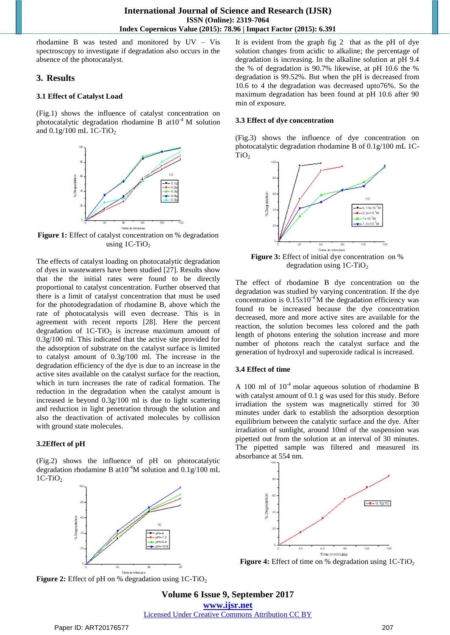rhodamine B was tested and monitored by UV – Vis spectroscopy to investigate if degradation also occurs in the absence of the photocatalyst.

## **3. Results**

#### **3.1 Effect of Catalyst Load**

(Fig.1) shows the influence of catalyst concentration on photocatalytic degradation rhodamine B at  $10^{-4}$  M solution and  $0.1g/100$  mL 1C-TiO<sub>2</sub>



**Figure 1:** Effect of catalyst concentration on % degradation using  $1C-TiO<sub>2</sub>$ 

The effects of catalyst loading on photocatalytic degradation of dyes in wastewaters have been studied [27]. Results show that the the initial rates were found to be directly proportional to catalyst concentration. Further observed that there is a limit of catalyst concentration that must be used for the photodegradation of rhodamine B, above which the rate of photocatalysis will even decrease. This is in agreement with recent reports [28]. Here the percent degradation of  $1C-TiO<sub>2</sub>$  is increase maximum amount of 0.3g/100 ml. This indicated that the active site provided for the adsorption of substrate on the catalyst surface is limited to catalyst amount of 0.3g/100 ml. The increase in the degradation efficiency of the dye is due to an increase in the active sites available on the catalyst surface for the reaction, which in turn increases the rate of radical formation. The reduction in the degradation when the catalyst amount is increased ie beyond 0.3g/100 ml is due to light scattering and reduction in light penetration through the solution and also the deactivation of activated molecules by collision with ground state molecules.

## **3.2Effect of pH**

(Fig.2) shows the influence of pH on photocatalytic degradation rhodamine B at  $10^{-4}$ M solution and  $0.1$  g/100 mL  $1C-TiO<sub>2</sub>$ 



**Figure 2:** Effect of pH on % degradation using 1C-TiO<sub>2</sub>

It is evident from the graph fig 2 that as the pH of dye solution changes from acidic to alkaline; the percentage of degradation is increasing. In the alkaline solution at pH 9.4 the % of degradation is 90.7% likewise, at pH 10.6 the % degradation is 99.52%. But when the pH is decreased from 10.6 to 4 the degradation was decreased upto76%. So the maximum degradation has been found at pH 10.6 after 90 min of exposure.

#### **3.3 Effect of dye concentration**

(Fig.3) shows the influence of dye concentration on photocatalytic degradation rhodamine B of 0.1g/100 mL 1C- $TiO<sub>2</sub>$ 



Figure 3: Effect of initial dye concentration on % degradation using  $1C-TiO<sub>2</sub>$ 

The effect of rhodamine B dye concentration on the degradation was studied by varying concentration. If the dye concentration is  $0.15x10^4$  M the degradation efficiency was found to be increased because the dye concentration decreased, more and more active sites are available for the reaction, the solution becomes less colored and the path length of photons entering the solution increase and more number of photons reach the catalyst surface and the generation of hydroxyl and superoxide radical is increased.

## **3.4 Effect of time**

A 100 ml of  $10^{-4}$  molar aqueous solution of rhodamine B with catalyst amount of 0.1 g was used for this study. Before irradiation the system was magnetically stirred for 30 minutes under dark to establish the adsorption desorption equilibrium between the catalytic surface and the dye. After irradiation of sunlight, around 10ml of the suspension was pipetted out from the solution at an interval of 30 minutes. The pipetted sample was filtered and measured its absorbance at 554 nm.



**Figure 4:** Effect of time on % degradation using 1C-TiO<sub>2</sub>

**Volume 6 Issue 9, September 2017 <www.ijsr.net>** [Licensed Under Creative Commons Attribution CC BY](http://creativecommons.org/licenses/by/4.0/)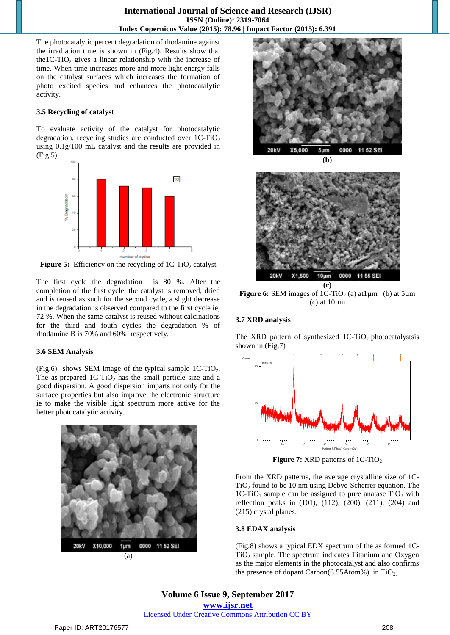The photocatalytic percent degradation of rhodamine against the irradiation time is shown in (Fig.4). Results show that the1C-TiO<sub>2</sub> gives a linear relationship with the increase of time. When time increases more and more light energy falls on the catalyst surfaces which increases the formation of photo excited species and enhances the photocatalytic activity.

#### **3.5 Recycling of catalyst**

To evaluate activity of the catalyst for photocatalytic degradation, recycling studies are conducted over  $1C-TiO<sub>2</sub>$ using 0.1g/100 mL catalyst and the results are provided in (Fig.5)



**Figure 5:** Efficiency on the recycling of 1C-TiO<sub>2</sub> catalyst

The first cycle the degradation is 80 %. After the completion of the first cycle, the catalyst is removed, dried and is reused as such for the second cycle, a slight decrease in the degradation is observed compared to the first cycle ie; 72 %. When the same catalyst is reused without calcinations for the third and fouth cycles the degradation % of rhodamine B is 70% and 60% respectively.

#### **3.6 SEM Analysis**

(Fig.6) shows SEM image of the typical sample  $1C-TiO<sub>2</sub>$ . The as-prepared  $1C-TiO<sub>2</sub>$  has the small particle size and a good dispersion. A good dispersion imparts not only for the surface properties but also improve the electronic structure ie to make the visible light spectrum more active for the better photocatalytic activity.







**Figure 6:** SEM images of  $1C-TiO<sub>2</sub>$  (a) at  $1\mu$ m (b) at  $5\mu$ m  $(c)$  at  $10 \mu m$ 

## **3.7 XRD analysis**

The XRD pattern of synthesized  $1C-TiO<sub>2</sub>$  photocatalystsis shown in (Fig.7)



**Figure 7:** XRD patterns of 1C-TiO<sub>2</sub>

From the XRD patterns, the average crystalline size of 1C- $TiO<sub>2</sub>$  found to be 10 nm using Debye-Scherrer equation. The 1C-TiO<sub>2</sub> sample can be assigned to pure anatase  $TiO<sub>2</sub>$  with reflection peaks in (101), (112), (200), (211), (204) and (215) crystal planes.

## **3.8 EDAX analysis**

(Fig.8) shows a typical EDX spectrum of the as formed 1C- $TiO<sub>2</sub>$  sample. The spectrum indicates Titanium and Oxygen as the major elements in the photocatalyst and also confirms the presence of dopant Carbon(6.55Atom%) in  $TiO<sub>2</sub>$ .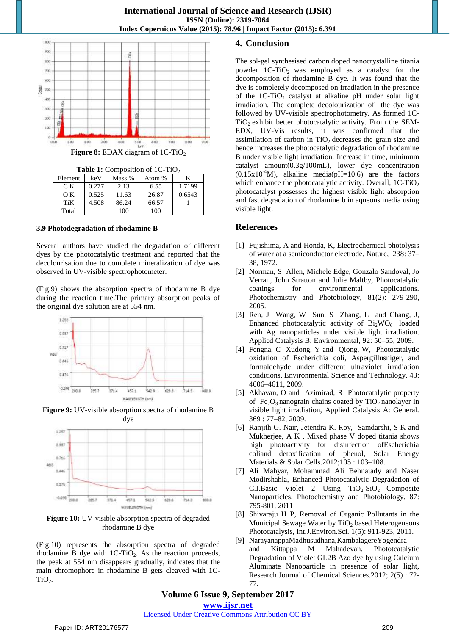

**Figure 8:** EDAX diagram of 1C-TiO<sub>2</sub>

**Table 1:** Composition of 1C-TiO<sub>2</sub>

| Element | keV   | Mass % | Atom % |        |
|---------|-------|--------|--------|--------|
| CК      | 0.277 | 2.13   | 6.55   | 1.7199 |
| OΚ      | 0.525 | 11.63  | 26.87  | 0.6543 |
| TiK     | 4.508 | 86.24  | 66.57  |        |
| Total   |       | 100    | 100    |        |

#### **3.9 Photodegradation of rhodamine B**

Several authors have studied the degradation of different dyes by the photocatalytic treatment and reported that the decolourisation due to complete mineralization of dye was observed in UV-visible spectrophotometer.

(Fig.9) shows the absorption spectra of rhodamine B dye during the reaction time.The primary absorption peaks of the original dye solution are at 554 nm.



**Figure 9:** UV-visible absorption spectra of rhodamine B dye



**Figure 10:** UV-visible absorption spectra of degraded rhodamine B dye

(Fig.10) represents the absorption spectra of degraded rhodamine B dye with  $1C-TiO<sub>2</sub>$ . As the reaction proceeds, the peak at 554 nm disappears gradually, indicates that the main chromophore in rhodamine B gets cleaved with 1C- $TiO<sub>2</sub>$ .

# **4. Conclusion**

The sol-gel synthesised carbon doped nanocrystalline titania powder  $1C-TiO<sub>2</sub>$  was employed as a catalyst for the decomposition of rhodamine B dye. It was found that the dye is completely decomposed on irradiation in the presence of the  $1C-TiO<sub>2</sub>$  catalyst at alkaline pH under solar light irradiation. The complete decolourization of the dye was followed by UV-visible spectrophotometry. As formed 1C- $TiO<sub>2</sub>$  exhibit better photocatalytic activity. From the SEM-EDX, UV-Vis results, it was confirmed that the assimilation of carbon in  $TiO<sub>2</sub>$  decreases the grain size and hence increases the photocatalytic degradation of rhodamine B under visible light irradiation. Increase in time, minimum catalyst amount(0.3g/100mL), lower dye concentration  $(0.15x10^{-4}M)$ , alkaline media(pH=10.6) are the factors which enhance the photocatalytic activity. Overall,  $1C-TiO<sub>2</sub>$ photocatalyst possesses the highest visible light absorption and fast degradation of rhodamine b in aqueous media using visible light.

## **References**

- [1] Fujishima, A and Honda, K, Electrochemical photolysis of water at a semiconductor electrode. Nature, 238: 37– 38, 1972.
- [2] Norman, S Allen, Michele Edge, Gonzalo Sandoval, Jo Verran, John Stratton and Julie Maltby, Photocatalytic coatings for environmental applications. Photochemistry and Photobiology, 81(2): 279-290, 2005.
- [3] Ren, J Wang, W Sun, S Zhang, L and Chang, J, Enhanced photocatalytic activity of  $Bi<sub>2</sub>WO<sub>6</sub>$  loaded with Ag nanoparticles under visible light irradiation. Applied Catalysis B: Environmental, 92: 50–55, 2009.
- [4] Fengna, C Xudong, Y and Qiong, W, Photocatalytic oxidation of Escherichia coli, Aspergillusniger, and formaldehyde under different ultraviolet irradiation conditions, Environmental Science and Technology. 43: 4606–4611, 2009.
- [5] Akhavan, O and Azimirad, R Photocatalytic property of  $Fe<sub>2</sub>O<sub>3</sub>$  nanograin chains coated by TiO<sub>2</sub> nanolayer in visible light irradiation, Applied Catalysis A: General. 369 : 77–82, 2009.
- [6] Ranjith G. Nair, Jetendra K. Roy, Samdarshi, S K and Mukherjee, A K , Mixed phase V doped titania shows high photoactivity for disinfection ofEscherichia coliand detoxification of phenol, Solar Energy Materials & Solar Cells.2012;105 : 103–108.
- [7] Ali Mahyar, Mohammad Ali Behnajady and Naser Modirshahla, Enhanced Photocatalytic Degradation of C.I.Basic Violet 2 Using  $TiO<sub>2</sub>-SiO<sub>2</sub>$  Composite Nanoparticles, Photochemistry and Photobiology. 87: 795-801, 2011.
- [8] Shivaraju H P, Removal of Organic Pollutants in the Municipal Sewage Water by  $TiO<sub>2</sub>$  based Heterogeneous Photocatalysis, Int.J.Environ.Sci. 1(5): 911-923, 2011.
- [9] NarayanappaMadhusudhana,KambalagereYogendra and Kittappa M Mahadevan, Phototcatalytic Degradation of Violet GL2B Azo dye by using Calcium Aluminate Nanoparticle in presence of solar light, Research Journal of Chemical Sciences.2012; 2(5) : 72- 77.

## **Volume 6 Issue 9, September 2017 <www.ijsr.net>**

# [Licensed Under Creative Commons Attribution CC BY](http://creativecommons.org/licenses/by/4.0/)